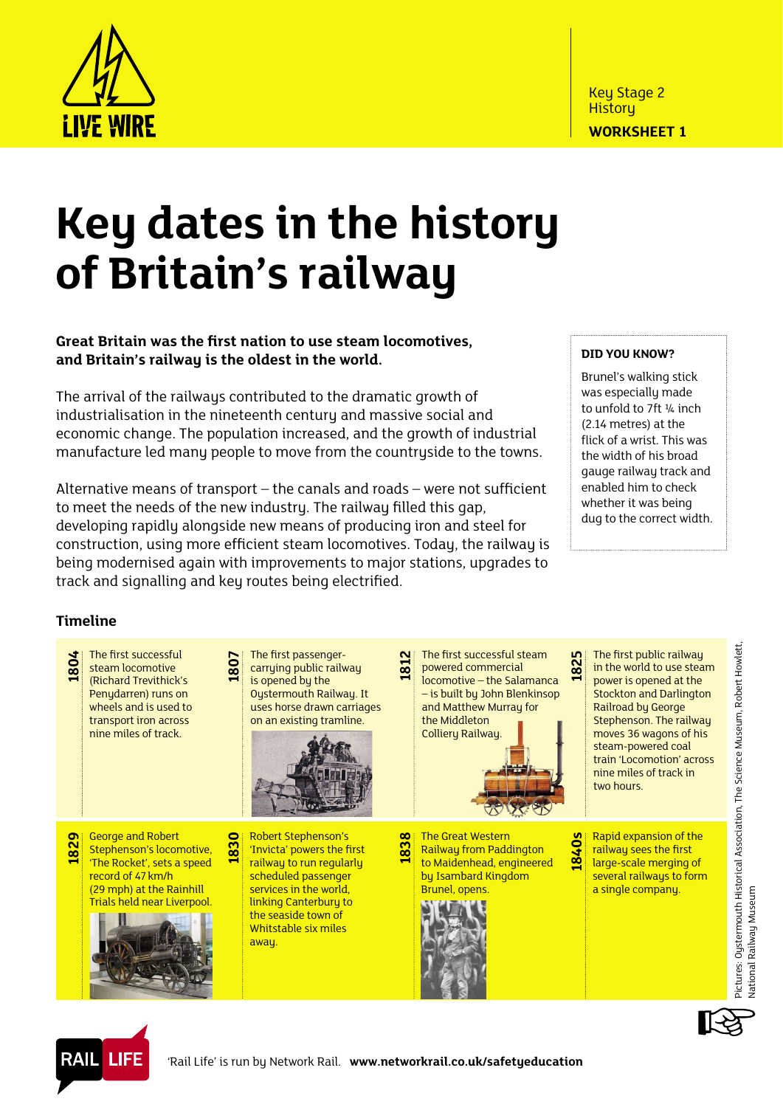

## **Key dates in the history of Britain's railway**

## **Great Britain was the first nation to use steam locomotives, and Britain's railway is the oldest in the world.**

The arrival of the railways contributed to the dramatic growth of industrialisation in the nineteenth century and massive social and economic change. The population increased, and the growth of industrial manufacture led many people to move from the countryside to the towns.

Alternative means of transport – the canals and roads – were not sufficient to meet the needs of the new industry. The railway filled this gap, developing rapidly alongside new means of producing iron and steel for construction, using more efficient steam locomotives. Today, the railway is being modernised again with improvements to major stations, upgrades to track and signalling and key routes being electrified.

## **Did you know?**

Brunel's walking stick was especially made to unfold to 7ft ¼ inch (2.14 metres) at the flick of a wrist. This was the width of his broad gauge railway track and enabled him to check whether it was being dug to the correct width.

## **Timeline**